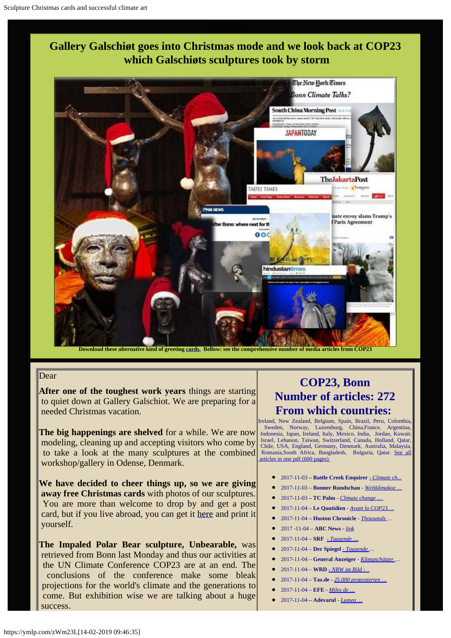



**Download these alternative kind of greeting [cards.](http://www.aidoh.dk/new-struct/About-Jens-Galschiot/2008/Klejner/Fotos.htm) Bellow: see the comprehensive number of media articles from COP23**

### Dear

**After one of the toughest work years** things are starting to quiet down at Gallery Galschiot. We are preparing for a needed Christmas vacation.

**The big happenings are shelved** for a while. We are now modeling, cleaning up and accepting visitors who come by to take a look at the many sculptures at the combined workshop/gallery in Odense, Denmark.

**We have decided to cheer things up, so we are giving away free Christmas cards** with photos of our sculptures. You are more than welcome to drop by and get a post card, but if you live abroad, you can get it [here](http://www.aidoh.dk/new-struct/About-Jens-Galschiot/2008/Klejner/Fotos.htm?utm_medium=email&utm_campaign=Miraklet+i+Varde%2C+Peter+Bastian-koncert+og+...&utm_source=Info-liste+aidoh-YMLP&utm_term=online) and print it yourself.

**The Impaled Polar Bear sculpture, Unbearable,** was retrieved from Bonn last Monday and thus our activities at the UN Climate Conference COP23 are at an end. The conclusions of the conference make some bleak projections for the world's climate and the generations to come. But exhibition wise we are talking about a huge success.

## **COP23, Bonn Number of articles: 272 From which countries:**

Ireland, New Zealand, Belgium, Spain, Brazil, Peru, Colombia, Sweden, Norway, Luxemburg, China,France, Argentina, Indonesia, Japan, Ireland, Italy, Mexico, India, Jordan, Kuwait. Israel, Lebanon, Taiwan, Switzerland, Canada, Holland, Qatar, Chile, USA, England, Germany, Denmark, Australia, Malaysia, Romania,South Africa, Bangladesh, Bulgaria, Qatar. [See all](http://fundamentalism.dk/wp-content/uploads/Articles_COP23-PDF_Collection.pdf)  [articles in one pdf \(600 pages\)](http://fundamentalism.dk/wp-content/uploads/Articles_COP23-PDF_Collection.pdf)

- 2017-11-03  **Battle Creek Enquirer**  *[Climate ch...](https://www.battlecreekenquirer.com/story/news/nation/2017/11/03/humans-blame-global-warming-massive-federal-government-report-says/829783001/)*
- 2017-11-03 **Bonner Rundschau** *- [Weltklimakoz …](https://www.rundschau-online.de/region/bonn/stadtbonn/weltklimakonferenz-cop-23-das-kommt-in-den-naechsten-tagen-auf-bonn-und-die-region-zu-28764210)*
- 2017-11-03  **TC Palm** *- [Climate change …](https://www.tcpalm.com/story/news/nation/2017/11/03/humans-blame-global-warming-massive-federal-government-report-says/829783001/)*
- 2017-11-04 **Le Quotidien** *- [Avant la COP23…,](http://www.lequotidien.lu/international/avant-la-cop23-le-charbon-dans-le-collimateur-des-defenseurs-du-climat/)*
- 2017-11-04  **Huston Chronicle** *[Thousands](http://www.chron.com/news/science/article/Thousands-protest-German-coal-use-ahead-of-12331831.php) …*
- 2017 -11-04 **ABC News -** *[link](http://abcnews.go.com/Technology/photos/protestors-make-city-smoking-figure-statue-liberty-demonstration-50930602)*
- 2017-11-04 **SRF**  *[Tausende …](https://www.srf.ch/news/international/vor-klimagipfel-in-bonn-tausende-demonstrieren-fuer-kohle-ausstieg)*
- 2017-11-04 **Der Spiegel**  *[Tausende …](http://www.spiegel.de/wissenschaft/natur/klimakonferenz-in-bonn-tausende-demonstrieren-fuer-kohleausstieg-a-1176514.html)*
- 2017-11-04 **General Anzeiger**  *[Klimaschützer](http://www.general-anzeiger-bonn.de/bonn/stadt-bonn/Klimasch%C3%BCtzer-protestieren-friedlich-in-Bonn-article3693107.html) …*
- 2017-11-04 **WRD** *[-](http://www1.wdr.de/nachrichten/nrw-im-bild-november-100.html) [NRW im Bild](http://www1.wdr.de/nachrichten/nrw-im-bild-november-100.html)*
- 2017-11-04 **Taz.de -** *[25.000 protestierten …](http://www.taz.de/!5460174/)*
- 2017-11-04 **EFE -** *[Miles de …](https://www.efe.com/efe/espana/sociedad/miles-de-manifestantes-exigen-el-fin-los-combustibles-fosiles-en-bonn/10004-3428732)*
- 2017-11-04  **Adevarul** *- [Lumea …](http://adevarul.ro/international/in-lume/lumea-imagini-fotografiile-zilei-4-noiembrie-7_59fd76675ab6550cb8cb42b5/2_59fdd8d05ab6550cb8cdc668.html)*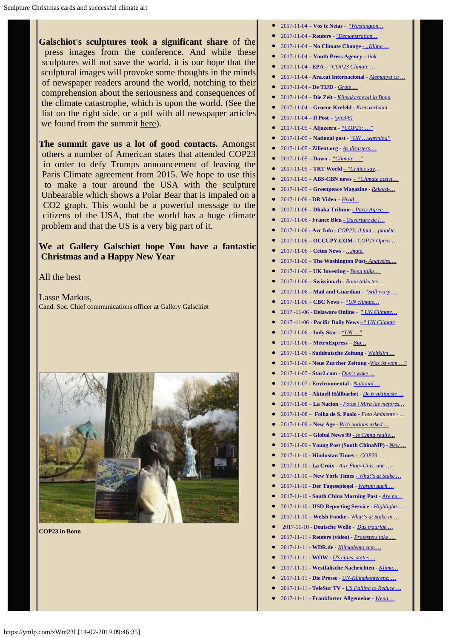**Galschiot's sculptures took a significant share** of the press images from the conference. And while these sculptures will not save the world, it is our hope that the sculptural images will provoke some thoughts in the minds of newspaper readers around the world, notching to their comprehension about the seriousness and consequences of the climate catastrophe, which is upon the world. (See the list on the right side, or a pdf with all newspaper articles we found from the summit [here](http://fundamentalism.dk/wp-content/uploads/Articles_COP23-PDF_Collection.pdf)).

**The summit gave us a lot of good contacts.** Amongst others a number of American states that attended COP23 in order to defy Trumps announcement of leaving the Paris Climate agreement from 2015. We hope to use this to make a tour around the USA with the sculpture Unbearable which shows a Polar Bear that is impaled on a CO2 graph. This would be a powerful message to the citizens of the USA, that the world has a huge climate problem and that the US is a very big part of it.

## **We at Gallery Galschiøt hope You have a fantastic Christmas and a Happy New Year**

All the best

Lasse Markus, Cand. Soc. Chief communications officer at Gallery Galschiøt



**COP23 in Bonn**

- 2017-11-04  **Vos iz Neias** ["](https://www.vosizneias.com/283901/2017/11/04/washington-in-clash-with-trump-u-s-report-says-humans-cause-climate-change/)*[Washington…](https://www.vosizneias.com/283901/2017/11/04/washington-in-clash-with-trump-u-s-report-says-humans-cause-climate-change/)*
- 2017-11-04 **Reuters -** *["Demonstration…](http://news.trust.org/item/20171104142645-phfmr)*
- 2017-11-04 **No Climate Change** *"Klima ...*
- 2017-11-04 **Youth Press Agency –** *[link](http://www.youthpressagency.org/public/componenti/1564/f1/9.jpg)*
- 2017-11-04 **EPA**  ["](http://www.epa.eu/politics-photos/environmental-politics-treaties-organisations-photos/cop23-climate-change-conference-climate-march-demonstration-photos-53874542)*[COP23 Climate …](http://www.epa.eu/politics-photos/environmental-politics-treaties-organisations-photos/cop23-climate-change-conference-climate-march-demonstration-photos-53874542)*
- 2017-11-04 - **Ara.cat Internacional -** *[Alemanya ca …](https://www.ara.cat/internacional/Alemanya-escalfa-climatic-manifestacio-multitudinaria_0_1900010224.html)*
- 2017-11-04 **De TIJD**  *[Grote …](https://www.tijd.be/politiek-economie/internationaal-algemeen/Grote-klimaatbetoging-in-Bonn/9950123?ckc=1&ts=1510482436)*
- 2017-11-04 **Die Zeit** *[Klimakarneval in Bonn](http://www.zeit.de/gesellschaft/2017-11/weltklimakonferenz-bonn-cop23-demonstration-fs)*
- 2017-11-04 **Gruene Krefeld** *- [Kreisverband …](http://gruene-krefeld.de/index.php?id=106)*
- $2017-11-04 \textbf{II} \ \textbf{Post} (pic3/6)$
- 2017-11-05 **Aljazeera -** *["COP23: …"](http://www.aljazeera.com/blogs/europe/2017/11/cop23-testing-times-paris-climate-pact-trump-withdrawal-171105053122123.html)*
- $2017 11 05$  **National post** - ["](http://nationalpost.com/news/world/the-world-shrugs-at-trump-as-global-climate-meeting-begins-in-bonn)*UN ... warming*"
- 2017-11-05 **Zilient.org -** *[As disasters …](https://www.zilient.org/index.php/article/disasters-surge-nations-must-slash-emissions-faster-climate-experts-urge)*
- 2017-11-05 – **Dawn -** *["Climate …"](https://www.dawn.com/news/1368508)*
- $2017 11 05 TRT World "Critics say...$  $2017 11 05 TRT World "Critics say...$  $2017 11 05 TRT World "Critics say...$  $2017 11 05 TRT World "Critics say...$
- 2017-11-05 **ABS-CBN news** *["Climate activi…](http://news.abs-cbn.com/news/11/05/17/climate-activists-march-to-keep-coal-in-ground)*
- 2017-11-05 **Greenpeace Magazine -** *[Rekord-…](https://www.greenpeace-magazin.de/start/nachrichten/rekord-demo-vor-dem-weltklimagipfel-bonn)*
- 2017-11-06 **DR Video** *– [Hvad…](https://www.dr.dk/nyheder/udland/video-hvad-rager-klimaet-mig-theilgaard-svarer-paa-de-10-mest-googlede)*
- 2017-11-06 **Dhaka Tribune** *Paris Agree*...
- 2017-11-06 **France Bleu [-](https://www.francebleu.fr/emissions/tous-europeens-anja-vogel/tous-europeens-a-vojel-41)** *[Ouverture de l…](https://www.francebleu.fr/emissions/tous-europeens-anja-vogel/tous-europeens-a-vojel-41)*
- 2017-11-06 **Arc Info**  *[COP23: il faut …planète](http://www.arcinfo.ch/articles/monde/la-cop23-s-ouvre-a-bonn-dans-un-contexte-climatique-alarmant-713577)*
- 2017-11-06  **OCCUPY.COM** *[COP23 Opens …](http://www.occupy.com/article/cop23-opens-with-new-global-leadership-emerging-against-climate-change#sthash.g1NzWs0U.dpbs)*
- 2017-11-06 **Cetus News** *[…mate.](http://www.cetusnews.com/news/Analysis-%7C-What%E2%80%99s-next-for-the-Paris-Agreement--Nearly-200-countries-meet-this-week-to-talk-climate-change-.BkqRb6cXRpA-.html)*
- 2017-11-06 **The Washington Post***[Analysiss….](https://www.washingtonpost.com/news/monkey-cage/wp/2017/11/06/whats-next-for-the-paris-agreement-nearly-200-countries-meet-this-week-to-talk-implementation/?utm_term=.51a4db649209)*
- 2017-11-06 **UK Investing -** *[Bonn talks…](https://uk.investing.com/news/stock-market-news/bonn-talks-test-global-resolve-to-fix-climate-without-trump-651111)*
- 2017-11-06 **Swissino.ch -** *[Bonn talks tes…](https://www.swissinfo.ch/eng/bonn-talks-test-global-resolve-to-fix-climate--without-trump/43652744)*
- 2017-11-06 **Mail and Guardian** *["Still wary …](https://mg.co.za/article/2017-11-06-still-wary-of-trump-effect-un-climate-talks-open-in-bonn/2017)*
- 2017-11-06 **CBC News -** ["](http://www.cbc.ca/news/technology/cop23-bonn-5-things-1.4144311)*[UN climate…](http://www.cbc.ca/news/technology/cop23-bonn-5-things-1.4144311)*
- 2017 -11-06 **Delaware Online** ["](https://www.delawareonline.com/picture-gallery/news/2017/11/06/un-climate-change-conference-opens/107418980/) *[UN Climate…](https://www.delawareonline.com/picture-gallery/news/2017/11/06/un-climate-change-conference-opens/107418980/)*
- 2017 -11-06 **Pacific Daily News** *[–" UN Climate](http://www.guampdn.com/picture-gallery/news/2017/11/06/un-climate-change-conference-opens/107418980/)*
- 2017-11-06 **Indy Star –** ["](https://www.indystar.com/picture-gallery/news/2017/11/06/un-climate-change-conference-opens/107418980/)*[UN …"](https://www.indystar.com/picture-gallery/news/2017/11/06/un-climate-change-conference-opens/107418980/)*
- 2017-11-06 **MetroExpress** *[Bjø…](https://www.mx.dk/printpdf/ost_20171106.pdf)*
- 2017-11-06 **Suddeutsche Zeitung**  *[Weltklim …](http://www.sueddeutsche.de/wissen/klimawandel-weltklimakonferenz-beginnt-in-bonn-1.3736232)*
- 2017-11-06 **Neue Zurcher Zeitung -***[Was ist vom …?](https://www.nzz.ch/international/was-ist-vom-klima-gipfel-in-bonn-zu-erwarten-ld.1326516)*
- 2017-11-07 **Star2.com -** *[Don't wake …](http://www.star2.com/living/2017/11/07/climate-change-dont-wake-the-trump-bear/)*
- 2017-11-07  **Environmental** *[National …](https://ntenvironmentalwork.net/)*
- 2017-11-08 **Aktuell Hållbarhet**  *[De 6 viktigaste …](https://www.aktuellhallbarhet.se/de-6-viktigaste-fragorna-cop23/)*
- 2017-11-08 **La Nacion**  *[Fotos | Mira las mejores…](http://lanacion.cl/2017/11/08/fotos-mira-las-mejores-imagenes-del-dia-miercoles-8-de-noviembre/)*
- 2017-11-08 **Folha de S. Paolo**  *[Foto Ambiente -](http://fotografia.folha.uol.com.br/galerias/nova/1583539535482871-conferencia-do-clima-2017#foto-1583539535586045) […](http://fotografia.folha.uol.com.br/galerias/nova/1583539535482871-conferencia-do-clima-2017#foto-1583539535586045)*
- 2017-11-09  **New Age** *[Rich nations asked …](http://www.newagebd.net/article/27993/rich-nations-asked-to-step-up-greenhouse-gas-cut)*
- 2017-11-09  **Global News 99**  *[Is China really…](https://www.globalnews99.com/2017/11/09/china-really-stepping-worlds-new-climate-leader/)*
- 2017-11-09 **Young Post (South ChinaMP)** *- [New …](https://yp.scmp.com/over-to-you/op-ed/article/107783/new-us-climate-change-report-slap-face-donald-trump-who-believes)*
- 2017-11-10 **Hindustan Times** [-](http://www.hindustantimes.com/photos/world-news/photos-cop23-brings-world-leaders-and-activists-to-germany/photo-5AerE45Cx5bO9X6YIOEtAJ.html) *[COP23 …](http://www.hindustantimes.com/photos/world-news/photos-cop23-brings-world-leaders-and-activists-to-germany/photo-5AerE45Cx5bO9X6YIOEtAJ.html)*
- 2017-11-10 **La Croix** *[Aux États-Unis, une …-](https://www.la-croix.com/Monde/Ameriques/Etats-Unis-coalition-defie-Trump-climat-2017-11-10-1200890921)*
- 2017-11-10  **New York Times** *[What's at Stake …](https://www.nytimes.com/2017/11/10/climate/bonn-climate-change-conference.html)*
- 2017-11-10 - **Der Tagesspiegel** *[Warum auch …](http://www.tagesspiegel.de/politik/gipfel-in-bonn-warum-auch-europa-beim-klimaschutz-hinkt/20569320.html)*
- 2017-11-10  **South China Morning Post** *- [Are na…](http://www.scmp.com/comment/insight-opinion/article/2119167/are-natural-disasters-man-made-its-hard-deny-when-effects)*
- 2017-11-10 - **IISD Reporting Service** *- [Highlights …](http://enb.iisd.org/climate/cop23/enb/10nov.html)*
- 2017-11-10 **Welsh Foodie -** *[What's at Stake in …](http://www.welsh-foodie.com/2017/11/10/whats-at-stake-in-the-bonn-climate-talks/)*
- 2017-11-10 **Deutsche Welle -** *[Das traurige …](http://www.dw.com/de/mit-kunst-gegen-den-klimawandel-cop23-bonn/g-41330922)*
- 2017-11-11 **Reuters (video)** *- [Protesters take …](https://in.mobile.reuters.com/video/2017/11/11/protesters-take-to-streets-against-clima?videoId=372954779&videoChannel=101)*
- 2017-11-11 **WDR.de** *[Klimademo zum …](http://www1.wdr.de/nachrichten/rheinland/klima-demo-bonn-100.html)*
- 2017-11-11 **WOW** *[US cities, states …](http://wowway.net/news/read/category/AP%20Online%20Top%20Business%20Short%20Headlines/article/the_associated_press-us_cities_states_businesses_still_back_paris_clima-ap)*
- 2017-11-11 **Westfalische Nachrichten** *[Klima…](http://www.wn.de/Welt/Politik/3050611-Weltklimakonferenz-in-Bonn-Klimaschuetzer-protestieren-in-Bonn-gegen-Trump-und-Merkel)*
- 2017-11-11 **Die Presse** *- [UN-Klimakonferenz: …](http://diepresse.com/home/ausland/aussenpolitik/5318674/UNKlimakonferenz_USA-koennen-Klimaziele-nicht-erreichen)*
- 2017-11-11 **TeleSur TV**  *[US Failing to Reduce …](https://www.telesurtv.net/english/news/US-Failing-to-Reduce-Greenhouse-Gas-Emissions-New-Report-20171111-0025.html)*
- 2017-11-11 **Frankfurter Allgemeine** *- [Wenn …](http://www.faz.net/aktuell/politik/inland/klimaschutz-trifft-karneval-bei-demonstrationen-in-bonn-15288506.html)*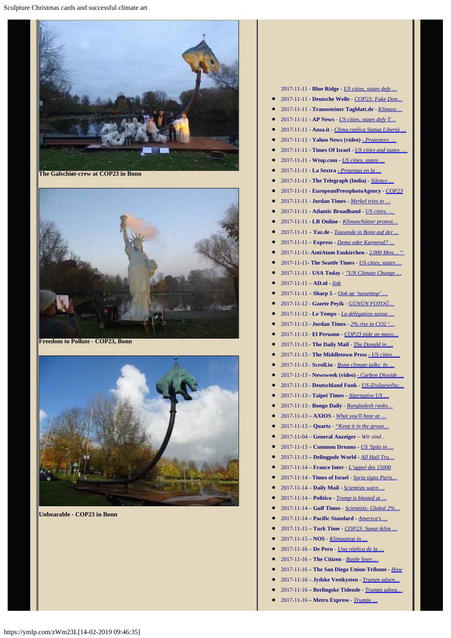Sculpture Christmas cards and successful climate art



**The Galschiøt-crew at COP23 in Bonn**



**Freedom to Pollute - COP23, Bonn**



**Unbearable - COP23 in Bonn**

2017-11-11 - **Blue Ridge** *- [US cities, states defy …](http://www.mybrctv.com/news/read/category/Business/article/the_associated_press-us_cities_states_businesses_still_back_paris_clima-ap)* 2017-11-11 - **Deutsche Welle** - *[COP23: Fake Don…](http://www.dw.com/en/cop23-fake-donald-trump-marches-in-carnival-themed-climate-protests-in-bonn/a-41339135)* 2017-11-11 - **Traunsteiner Tagblatt.de** - *[Klimasc…](https://www.traunsteiner-tagblatt.de/nachrichten_artikel,-klimaschuetzer-protestieren-in-bonn-gegen-trump-und-merkel-_arid,368152.html)* 2017-11-11 - **AP News** *- [US cities, states defy T…](https://www.apnews.com/365b032c1e4140c8a07021245f87d66c/US-cities,-states-defy-Trump,-still-back-Paris-climate-deal)* 2017-11-11 - **Ansa.it -** *[Clima,replica Statua Libertà …](http://www.ansa.it/sito/photogallery/curiosita/2017/11/11/climareplica-statua-liberta-tra-proteste-per-cop23-a-bonn_11a5bc63-19c2-4718-81e6-75db77e6def6.html)* • 2017-11-11 [-](https://in.news.yahoo.com/protesters-streets-against-climate-change-150303295.html) **Yahoo News (video)** - *Protesters* ... 2017-11-11 - **Times Of Israel -** *[US cities and states …](https://www.timesofisrael.com/us-cities-and-states-defy-trump-still-back-paris-climate-deal/)* 2017-11-11 - **Wtop.com -** *[US cities, states …](https://wtop.com/national/2017/11/us-cities-states-businesses-still-back-paris-climate-deal/slide/1/)* 2017-11-11 - **La Sextra** *[-](http://www.lasexta.com/noticias/internacional/protestas-en-la-cumbre-del-clima-de-bonn-contra-la-politica-medioambiental-de-donal-trump_201711115a075af10cf2ebaa1672bd1c.html) [Protestas en la …](http://www.lasexta.com/noticias/internacional/protestas-en-la-cumbre-del-clima-de-bonn-contra-la-politica-medioambiental-de-donal-trump_201711115a075af10cf2ebaa1672bd1c.html)* 2017-11-11 - **The Telegraph (India)** - *[Silence …](https://www.telegraphindia.com/india/silence-on-us-at-bonn-185582)* 2017-11-11 *-* **EuropeanPressphotoAgency** *- [COP23](http://www.epa.eu/politics-photos/citizens-initiative-and-recall-photos/cop23-climate-change-conference-climate-march-demonstration-photos-53889365)* 2017-11-11 - **Jordan Times -** *[Merkel tries to …](http://www.jordantimes.com/news/world/merkel-tries-bridge-climate-gap-coalition-talks-get-serious)* 2017-11-11 - **Atlantic Broadband -** *[US cities, …](http://www.atlanticbb.net/news/read/category/AP%20Online%20Top%20Business%20Short%20Headlines/article/the_associated_press-us_cities_states_businesses_still_back_paris_clima-ap)* 2017-11-11 - **LR Online -** *[Klimaschützer protest…](https://m.lr-online.de/nachrichten/politik/klimaschuetzer-protestieren-in-bonn-gegen-trump-und-merkel_aid-6820682)* 2017-11-11 – **Taz.de -** *[Tausende in Bonn auf der ...](http://www.taz.de/!5462056/)* 2017-11-11 – **Express -** *[Demo oder Karneval?](https://www.express.de/bonn/demo-oder-karneval--so-bunt-demonstrieren-die-bonner-klimaschuetzer-28829342) […](https://www.express.de/bonn/demo-oder-karneval--so-bunt-demonstrieren-die-bonner-klimaschuetzer-28829342)* 2017-11-11- **AntiAtom Euskirchen -** *[2.000 Men… "](http://antiatomeuskirchen.blogsport.de/2017/11/11/bonn-11-11-2017-1111-uhr-2-000-menschen-forderten-schluss-mit-dem-faulen-zauber/)* 2017-11-11**- The Seattle Times -** *[US cities, states …](https://www.seattletimes.com/business/us-cities-states-businesses-still-back-paris-climate-deal/)* 2017-11-11 - **USA Today -** *["UN Climate Change …](https://www.usatoday.com/media/cinematic/gallery/107418980/un-climate-change-conference-opens/)* 2017-11-11 – **AD.nl -** *[link](https://www.ad.nl/nieuws/deze-fotoenrsquo-s-moet-je-gezien-hebben~a59bcf47/114604504/)* 2017-11-11 – **Sharp 5** – *[Ook op 'tussentop' …](http://sharp5.nl/sites/claarsnotes/?p=36960)* 2017-11-12 - **Gazete Peyik** *- [GÜNÜN FOTO](https://www.peyik.com/the-day-in-photos-november-12-2017-32745.html)[Ğ](https://www.peyik.com/the-day-in-photos-november-12-2017-32745.html)[…](https://www.peyik.com/the-day-in-photos-november-12-2017-32745.html)* 2017-11-12 - **Le Temps** *- [La délégation suisse …](https://www.letemps.ch/sciences/2017/11/12/delegation-suisse-dresse-un-bilan-intermediaire-mitige-cop23)* 2017-11-13 **- Jordan Times -** *[2% rise in CO2 '…](http://jordantimes.com/news/world/2-rise-co2-giant-leap-backwards-humankind%E2%80%99)* 2017-11-13 - **El Peruano** - *[COP23 pide un mayo…](http://elperuano.pe/noticia-cop23-pide-un-mayor-compromiso-61058.aspx)* 2017-11-13 - **The Daily Mail** *- [The Donald in …](http://www.dailymail.co.uk/news/article-5073419/Demo-climate-change-conference-group-defies-Trump.html)* 2017-11-13 - **The Middletown Press** *[-](http://www.middletownpress.com/business/technology/article/US-cities-states-businesses-still-back-Paris-12349644.php) [US cities, …](http://www.middletownpress.com/business/technology/article/US-cities-states-businesses-still-back-Paris-12349644.php)* ● 2017-11-13 - **Scroll.in** - *<u>[Bonn climate talks: In …](https://scroll.in/article/857607/bonn-climate-talks-in-second-week-ministers-will-try-to-break-impasse-on-pre-2020-agenda)*</u> 2017-11-13 **- Newsweek (video)** [-](http://www.newsweek.com/carbon-dioxide-emissions-were-stable-three-years-2017-will-see-them-rise-709314) *[Carbon Dioxide …](http://www.newsweek.com/carbon-dioxide-emissions-were-stable-three-years-2017-will-see-them-rise-709314)* 2017-11-13 **- Deutschland Funk** - *[US-Zivilgesellsc…](http://www.deutschlandfunk.de/trump-zum-trotz-us-zivilgesellschaft-will-sich-an.1773.de.html?dram:article_id=400490)* 2017-11-13 - **Taipei Times -** *[Alternative US …](http://www.taipeitimes.com/News/world/archives/2017/11/13/2003682182)* 2017-11-13 - **Bongo Daily** *- [Bangladesh ranks…](http://bongodaily.com/bangladeshi-news/bangladesh-ranks-6-in-climate-risk-index-again-prothom-alo-english/)* 2017-11-13 **– AXIOS** - *[What you'll hear at …](https://www.axios.com/climate-summit-on-edge-over-trump-event-2509124429.html)* 2017-11-13 – **Quartz** - *["Keep it in the groun…](https://qz.com/1128480/cop23-protestors-interrupt-us-panel-on-fossil-fuels/)* 2017-11-04 – **General Anzeiger** *– Wir sind .* 2017-11-13 – **Common Dream***s - [US 'Spits in …](https://www.commondreams.org/news/2017/11/13/us-spits-face-world-promoting-fossil-fuels-un-climate-summit)* 2017-11-13 **– Delingpole World** *- [All Hail Tru…](http://delingpoleworld.com/2017/11/13/all-hail-trumps-u-s-the-only-honest-nation-at-the-u-n-s-bonn-climate-conference/)* 2017-11-14 **– France Inter -** *[L'appel des 15000](https://www.franceinter.fr/emissions/l-edito-politique/l-edito-politique-14-novembre-2017)* 2017-11-14 - **Times of Israel** *- [Syria signs Paris…](https://www.timesofisrael.com/syria-signs-paris-climate-agreement-leaving-us-as-lone-outsider/)* 2017-11-14 – **Daily Mail -** *[Scientists warn …](http://www.dailymail.co.uk/wires/afp/article-5079549/Scientists-warn-giant-leap-backward-climate-talks.html)*

- 2017-11-14 **Politico -** *[Trump is blasted at …](https://www.politico.com/story/2017/11/14/trump-climate-talks-germany-paris-244903)*
- 2017-11-14 – **Gulf Times**  *[Scientists: Global 2%…](http://www.gulf-times.com/story/571097/Scientists-Global-2-rise-in-CO2-giant-leap-backwar)*
- 2017-11-14 **Pacific Standard -** *[America's …](https://psmag.com/environment/americas-mortifying-performance-at-the-bonn-climate-talks)*
- 2017-11-15 **Turk Time** *[COP23: Sanat iklim …](http://www.turktime.com/haber/cop23-sanat-iklim-degisikligine-karsi/450848)*
- 2017-11-15 **NOS** *[Klimaattop in …](https://nos.nl/artikel/2202936-klimaattop-in-bonn-gaat-beslissende-fase-in.html)*
- 2017-11-16 **De Peru** *- [Una réplica de la …](https://www.deperu.com/central-noticias/fotos/83964.html)*
- 2017-11-16 **The Citizen** *[Battle lines …](https://citizen.co.za/news/news-world/1731158/climate-warming-un-coal/)*
- 2017-11-16  **The San Diego Union-Tribune** *- [How](http://www.sandiegouniontribune.com/opinion/commentary/sd-utbg-climate-change-trump-agenda-20171116-story.html)*
- 2017-11-16 **Jydske Vestkysten** *[Trumps udsen…](https://www.jv.dk/udland/Trumps-udsending-fastholder-nej-til-Paris-aftale-paa-COP23/artikel/2561152)*
- 2017-11-16  **Berlingske Tidende -** *[Trumps udseg…](https://www.b.dk/globalt/trumps-udsending-fastholder-nej-til-paris-aftale-paa-cop23)*
- 2017-11-16  **Metro Express -** *[Trumps …](https://www.mx.dk/nyheder/global/story/30536906)*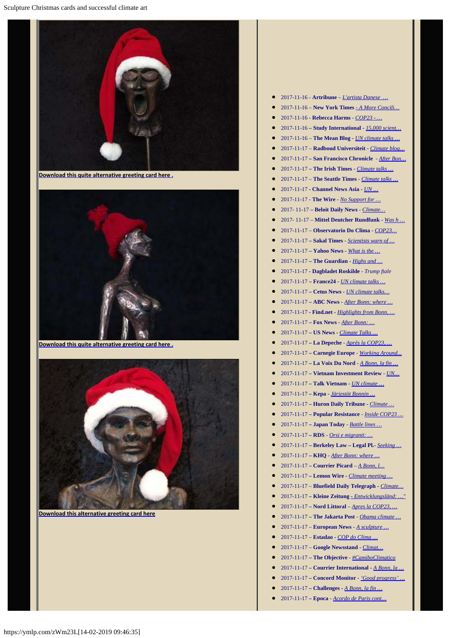

**[Download this quite alternative greeting card here .](http://www.aidoh.dk/new-struct/About-Jens-Galschiot/2008/Klejner/Fotos.htm)**



**[Download this quite alternative greeting card here .](http://www.aidoh.dk/new-struct/About-Jens-Galschiot/2008/Klejner/Fotos.htm)**



**[Download this alternative greeting card here](http://www.aidoh.dk/new-struct/About-Jens-Galschiot/2008/Klejner/Fotos.htm)**

- 2017-11-16 **Artribune**  *[L'artista Danese …](http://www.artribune.com/dal-mondo/2017/11/lartista-danese-jens-galschiot-invade-la-conferenza-sul-clima-di-bonn-con-le-sue-opere/)*
- 2017-11-16 – **New York Times**  *[A More Concili…](https://www.nytimes.com/2017/11/16/climate/un-climate-talks-bonn.html?rref=collection%2Fsectioncollection%2Fclimate&action=click&contentCollection=climate®ion=rank&module=package&version=highlights&contentPlacement=2&pgtype=sectionfront)*
- 2017-11-16  **Rebecca Harms** *[COP23 …](http://rebecca-harms.de/post/cop23-unspektakulaere-verhandlungen-in-spannendem-umfeld-23896)*
- 2017-11-16  **Study International -** *[15,000 scient…](https://www.studyinternational.com/news/15000-scientists-issue-global-warning-save-earth-climate-change/)*
- 2017-11-16 **The Mean Blog -** *[UN climate talks …](https://themeanblog.com/un-climate-talks-wind-down-deflated-but-not-derailed-by-washington/)*
- 2017-11-17 **Radboud Universiteit -** *[Climate blog…](http://www.ru.nl/duurzaamheid/duurzaamheid/groen-nieuws/@1133234/climate-blog-from-bonn-11-geographer-view-climate/)*
- 2017-11-17 **San Francisco Chronicle** *- [After Bon…](http://www.sfchronicle.com/news/science/article/After-Bonn-where-next-for-the-global-climate-12365772.php)*
- 2017-11-17 **The Irish Times -** *[Climate talks …](file:///C:/Users/Jens/AppData/Local/Temp/-%20Climate%20talks%20progress%20on%20agriculture,%20says%20Irish%20negotiator)*
- 2017-11-17 **The Seattle Times** *[Climate talks …](https://www.seattletimes.com/nation-world/climate-talks-wrap-up-with-progress-on-paris-rulebook/)*
- 2017-11-17  **Channel News Asia -** *[UN …](http://www.channelnewsasia.com/news/world/un-climate-talks-wrap-up-as-us-stands-firm-on-fossil-fuels-9415068)*
- 2017-11-17 **The Wire**  *<u>[No Support for …](https://thewire.in/197990/no-support-climate-change-victims-fiji-sides-historical-polluters/)</u>*
- 2017- 11-17 **Beloit Daily News** *- [Climate…](http://www.beloitdailynews.com/article/20171117/AP/311179946)*
- 2017- 11-17 **Mittel Deutcher Rundfunk -** *[Was h …](https://www.mdr.de/nachrichten/politik/ausland/was-hat-klimakonferenz-bonn-gebracht-bilanz-ausblick-100.html)*
- 2017-11-17 – **Observatorio Do Clima**  *[COP23…](http://www.observatoriodoclima.eco.br/cop23-entrega-o-que-prometeu-mas-nao-o-que-precisamos/)*
- 2017-11-17 **Sakal Times**  *[Scientists warn of …](http://www.sakaltimes.com/opinion/scale-action-meet-paris-climate-goals-un-8890)*
- 2017-11-17 **Yahoo News** *What is the ...*
- 2017-11-17 **The Guardian -** *[Highs and …](https://www.theguardian.com/environment/gallery/2017/nov/17/highs-and-lows-of-the-bonn-climate-talks-in-pictures)*
- 2017-11-17  **Dagbladet Roskilde**  *Trump ftale*
- 2017-11-17 **France24** *[UN climate talks …](http://www.france24.com/en/20171117-un-climate-talks-draw-close-bonn-usa-fossil-fuels-trump)*
- 2017-11-17 Cetus News *UN climate talks*...
- 2017-11-17 **ABC News -** *[After Bonn: where …](http://abcnews.go.com/Lifestyle/wireStory/bonn-global-climate-caravan-51225902)*
- 2017-11-17 **Find.net -** *[Highlights from Bonn, …](https://www.find.net/environment/2017/Nov/17/highlights-from-bonn-hunting-trophies-and-newts-green-news-roundup/0ad118cb49b66d03)*
- 2017-11-17 **Fox News**  *[After Bonn: …](http://www.foxnews.com/world/2017/11/17/after-bonn-where-next-for-global-climate-caravan.html)*
- 2017-11-17 **US News -** *[Climate Talks …](https://www.usnews.com/news/best-countries/articles/2017-11-17/climate-talks-a-rebuke-to-donald-trump-from-americas-allies)*
- 2017-11-17 **La Depeche** *- [Après la COP23, …](https://www.ladepeche.fr/article/2017/11/17/2686608-bonn-fin-cop-climat-compliquee-defection-americaine.html)*
- 2017-11-17 **Carnegie Europe** *- [Working Around...](http://carnegieeurope.eu/strategiceurope/74767)*
- 2017-11-17 **La Voix Du Nord** *- [A Bonn, la fin …](http://www.lavoixdunord.fr/267558/article/2017-11-17/bonn-la-fin-d-une-cop-climat-compliquee-par-la-defection-americaine)*
- 2017-11-17 **Vietnam Investment Review**  *[UN…](http://www.vir.com.vn/un-climate-talks-wrap-up-as-us-stands-firm-on-fossil-fuels.html)*
- 2017-11-17 **Talk Vietnam** *[UN climate …](https://www.talkvietnam.org/2017/11/un-climate-talks-wrap-up-as-us-stands-firm-on-fossil-fuels/)*
- 2017-11-17 **Kepa -** *[Järjestöt Bonnin …](https://www.kepa.fi/uutiset-media/tiedotteet/jarjestot-bonnin-ilmastokokouksesta-haavoittuvimmat-jaamassa-yksin)*
- 2017-11-17 **Huron Daily Tribune -** *[Climate …](http://www.michigansthumb.com/news/science/article/Climate-talks-wrap-up-with-progress-on-Paris-12365110.php)*
- 2017-11-17 **Popular Resistance** *- [Inside COP23 …](https://popularresistance.org/inside-cop23-protest-involving-thousands-of-bikers/)*
- 2017-11-17 **Japan Today** *- [Battle lines …](https://japantoday.com/category/world/battle-lines-drawn-over-coal-at-un-climate-talks)*
- 2017-11-17 **RDS** *- [Orsi e migranti: …](http://www.rds.it/rds-tv/video-news/orsi-e-migranti-alla-cop-23-le-sculture-per-riflettere-sul-clima/)*
- 2017-11-17 **Berkeley Law Legal Pl.-** *[Seeking …](http://legal-planet.org/2017/11/17/seeking-salvation-at-the-cop/)*
- 2017-11-17 **KHQ**  *[After Bonn: where …](http://www.khq.com/story/36871202/after-bonn-where-next-for-the-global-climate-caravan)*
- 2017-11-17  **Courrier Picard** *– [A Bonn, l…](http://www.courrier-picard.fr/71765/article/2017-11-17/bonn-la-fin-dune-cop-climat-freinee-par-leffet-trump)*
- 2017-11-17 **Lemon Wire** *Climate meeting ...*
- 2017-11-17 **Bluefield Daily Telegraph -** *[Climate…](http://www.bdtonline.com/region/climate-talks-wrap-up-with-progress-on-paris-rulebook/article_9a5195dc-fde5-5f1c-9b7e-02afb3d6e362.html)*
- 2017-11-17  **Kleine Zeitung***[Entwicklungsländ: …"](http://www.kleinezeitung.at/international/5322306/Klimakonferenz-in-Bonn_Entwicklungslaender_Egoismus-der)*
- 2017-11-17  **Nord Littoral** *– [Apres la COP23, …](http://www.nordlittoral.fr/57737/article/2017-11-17/apres-la-cop23-une-annee-2018-chargee-pour-les-negociateurs-climat)*
- 2017-11-17  **The Jakarta Post** *- [Obama climate …](http://www.thejakartapost.com/news/2017/11/17/obama-climate-envoy-slams-trumps-rejection-of-paris-agreement.html)*
- 2017-11-17 **European News**  *[A sculpture …](http://www.europe.easybranches.com/germany/A-sculpture-with-polar-bear-on-a-spear-by-Danish-artist-Jens-Galschiot-is-pictured-outside-the-23rd-UN-Conference-of-the-Parties--COP--climate-talks-in-Bonn--Germany--Friday--Nov--17--2017---AP-----112013)*
- 2017-11-17 **Estadao -** *[COP do Clima …](http://sustentabilidade.estadao.com.br/blogs/ambiente-se/cop-do-clima-reafirma-compromissos-do-passado-e-joga-decisoes-para-2018/)*
- 2017-11-17 **Google Newsstand -** *[Climat…](https://newsstand.google.com/articles/CAIiEATxBxOIS_VkiG3t1gnmFIUqFwgEKg8IACoHCAowhO7OATDh9Cgw3utQ)*
- 2017-11-17  **The Objective**  *[#CamiboClimatico](http://theobjective.com/visual/17-de-noviembre-de-2017/)*
- 2017-11-17  **Courrier International** *[A Bonn, la …](https://www.courrierinternational.com/depeche/bonn-la-fin-dune-cop-climat-compliquee-par-la-defection-americaine.afp.com.20171117.doc.ud0ke.xml)*
- 2017-11-17  **Concord Monitor** *['Good progress' …](file:///C:/Users/Jens/AppData/Local/Temp/-%20http:/www.concordmonitor.com/Climate-Talks-Paris-Germany-13815223)*
- 2017-11-17  **Challenges -** *[A Bonn, la fin …](https://www.challenges.fr/monde/a-bonn-la-fin-d-une-cop-climat-compliquee-par-la-defection-americaine_514118)*
- 2017-11-17  **Epoca** *- [Acordo de Paris cont…](http://epoca.globo.com/ciencia-e-meio-ambiente/blog-do-planeta/noticia/2017/11/acordo-de-paris-continua-nos-trilhos-com-ou-sem-os-estados-unidos.html)*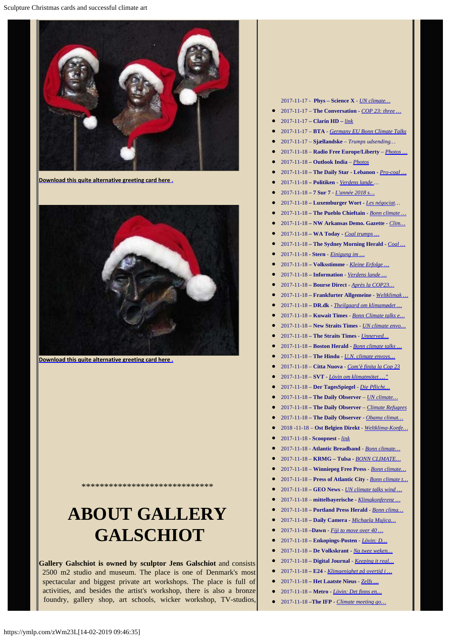

**[Download this quite alternative greeting card here .](http://www.aidoh.dk/new-struct/About-Jens-Galschiot/2008/Klejner/Fotos.htm)**



**[Download this quite alternative greeting card here .](http://www.aidoh.dk/new-struct/About-Jens-Galschiot/2008/Klejner/Fotos.htm)**

# **ABOUT GALLERY GALSCHIOT**

\*\*\*\*\*\*\*\*\*\*\*\*\*\*\*\*\*\*\*\*\*\*\*\*\*\*\*\*\*

**Gallery Galschiot is owned by sculptor Jens Galschiot** and consists 2500 m2 studio and museum. The place is one of Denmark's most spectacular and biggest private art workshops. The place is full of activities, and besides the artist's workshop, there is also a bronze foundry, gallery shop, art schools, wicker workshop, TV-studios,

#### 2017-11-17 - **Phys – Science X** *- [UN climate…](https://phys.org/news/2017-11-climate-firm-fossil-fuels.html)*

- 2017-11-17 **The Conversation -** *[COP 23: three …](http://theconversation.com/cop-23-three-ways-cities-are-leading-the-fight-against-climate-change-87277)*
- 2017-11-17  **Clarín HD –** *[link](http://hd.clarin.com/post/167559387024/contra-el-cambio-clim%C3%A1tico-una-r%C3%A9plica-de-la)*
- 2017-11-17 **BTA** *[Germany EU Bonn Climate Talks](http://www.bta.bg/en/gallery/image/4517783)*
- 2017-11-17 **Sjællandske** – *Trumps udsending…*
- 2017-11-18 **Radio Free Europe/Liberty** *– [Photos …](https://www.rferl.org/a/photos-week-46/28851212.html)*
- 2017-11-18  **Outlook India** *– [Photos](https://www.outlookindia.com/topic/climate-change-global-warming/1000)*
- 2017-11-18  **The Daily Star Lebanon** *[Pro-coal …](http://www.dailystar.com.lb/News/World/2017/Nov-18/426911-pro-coal-trump-unsettles-conference.ashx)*
- 2017-11-18  **Politiken** *[Verdens lande](http://politiken.dk/oekonomi/2050/klima/art6212099/Verdens-lande-n%C3%A5r-til-enighed-ved-klimatopm%C3%B8de-i-Bonn) …*
- 2017-11-18  **7 Sur 7** *- [L'année 2018 s…](http://www.7sur7.be/7s7/fr/1505/Monde/article/detail/3314392/2017/11/18/L-annee-2018-s-annonce-chargee-pour-les-negociateurs-du-climat.dhtml)*
- 2017-11-18  **Luxemburger Wort -** *[Les négociat](https://www.wort.lu/fr/international/cop23-a-bonn-les-negociations-climatiques-a-l-epreuve-des-realites-5a0ff0abc1097cee25b7773c)…*
- 2017-11-18  **The Pueblo Chieftain -** *[Bonn climate …](http://www.chieftain.com/business/bonn-climate-talks-end-with-progress-despite-us-stance/article_331beb2b-e7cb-5557-aaff-b98834b801b3.html)*
- 2017-11-18  **NW Arkansas Demo. Gazette** *[Clim…](http://www.nwaonline.com/news/2017/nov/18/climate-talks-finish-as-delegates-claim/)*
- 2017-11-18  **WA Today -** *[Coal trumps …](http://www.watoday.com.au/world/coal-trumps-trump-as-climate-talks-villain-20171117-gzo16d.html)*
- 2017-11-18  **The Sydney Morning Herald** *[Coal …](http://www.smh.com.au/world/coal-trumps-trump-as-climate-talks-villain-20171117-gzo16d.html)*
- 2017-11-18  **Stern**  *[Einigung im …](https://www.stern.de/news/einigung-im-letzten-hauptstreitpunkt-bei-un-klimakonferenz-7703466.html)*
- 2017-11-18 **Volksstimme** *- [Kleine Erfolge …](https://www.volksstimme.de/deutschland-welt/politik/umweltschutz-kleine-erfolge-bei-klimakonferenz)*
- 2017-11-18 **Information**  *[Verdens lande …](https://www.information.dk/telegram/2017/11/verdens-lande-naar-enighed-ved-klimatopmoede-bonn)*
- 2017-11-18 **Bourse Direct -** *[Après la COP23…](https://www.boursedirect.fr/fr/actualites/categorie/a-la-une/a-bonn-la-fin-d-une-cop-climat-compliquee-par-la-defection-americaine-afp-e5cd774d367ae84cacea4623cc2078a767a1a678)*
- 2017-11-18 **Frankfurter Allgemeine** *- [Weltklimak …](http://www.faz.net/aktuell/politik/weltklimakonferenz-in-bonn-bringt-kleine-erfolge-15298321.html)*
- 2017-11-18 **DR.dk -** *[Theilgaard om klimamødet …](https://www.dr.dk/nyheder/udland/theilgaard-om-klimamoedet-i-bonn-ingen-revolution-det-store-slag-staar-naeste-aar)*
- 2017-11-18 **Kuwait Times** *[Bonn Climate talks e…](http://news.kuwaittimes.net/website/bonn-climate-talks-end-progress-despite-us-pullout/)*
- 2017-11-18 **New Straits Times** *- [UN climate envo…](https://www.nst.com.my/world/2017/11/304625/un-climate-envoys-agree-way-forward-despite-trump)*
- 2017-11-18 **The Straits Times** *[Unnerved…](http://www.straitstimes.com/world/europe/unnerved-by-trump-un-climate-talks-wrap-up)*
- 2017-11-18 **Boston Herald -** *[Bonn climate talks …](http://www.bostonherald.com/news/international/2017/11/bonn_climate_talks_end_with_progress_despite_us_stance)*
- 2017-11-18 **The Hindu -** *[U.N. climate envoys…](http://www.thehindu.com/sci-tech/energy-and-environment/un-climate-envoys-agree-to-take-stock-of-global-warming-in-2018/article20549698.ece)*
- 2017-11-18 **Citta Nuova** *- [Com'è finita la Cop 23](https://www.cittanuova.it/fotogallery/2017/11/18/finita-la-cop-23/)*
- 2017-11-18 **SVT -** *[Lövin om klimatmötet …"](https://www.svt.se/nyheter/utrikes/lovin-om-klimatmotet-i-bonn-det-finns-en-stark-beslutsamhet)*
- 2017-11-18 – **Der TagesSpiegel** *- [Die Pflicht…](http://www.tagesspiegel.de/politik/klimakonferenz-die-pflicht-ist-getan-eine-delikate-geldfrage-bleibt-offen/20602022.html)*
- 2017-11-18  **The Daily Observer** *– [UN climate…](http://www.observerbd.com/details.php?id=106563)*
- 2017-11-18  **The Daily Observer** *– [Climate Refugees](http://www.observerbd.com/details.php?id=106540)*
- 2017-11-18  **The Daily Observer**  *[Obama climat…](http://www.observerbd.com/details.php?id=106434)*
- 2018 -11-18 **Ost Belgien Direkt** *[Weltklima-Konfe…](https://ostbelgiendirekt.be/weltklima-konferenz-in-bonn-bilanz-153883)*
- 2017-11-18 **Scoopnest -** *[link](https://www.scoopnest.com/user/AFP/931755147314606081-un-climate-envoys-agree-on-way-forward-despite-trump-s-rejection-of-paris-agreement-smoke-pours-from-a-statue-of-liberty-replica-by-danish-artist-jens-galschiot-at-a-park-in-bonn-during-the-cop23-un-climate-change-conference)*
- 2017-11-18 **Atlantic Breadband** *- [Bonn climate…](http://www.atlanticbb.net/news/read/category/AP%20Online%20Top%20Business%20Short%20Headlines/article/the_associated_press-climate_meeting_goes_all_night_ends_after_financin-ap)*
- 2017-11-18 **KRMG Tulsa -** *[BONN CLIMATE…](http://www.krmg.com/technology/bonn-climate-talks-end-with-progress-despite-stance/nRc6FUWE3mM2k9uPAga0uL/)*
- 2017-11-18 **Winniepeg Free Press** *[Bonn climate…](https://www.winnipegfreepress.com/world/climate-meeting-goes-all-night-ends-after-financing-talks-458420543.html)*
- 2017-11-18 **Press of Atlantic City -** *[Bonn climate t…](http://www.pressofatlanticcity.com/business/technology/bonn-climate-talks-end-with-progress-despite-us-stance/article_436a5b1a-b5af-5907-ab3f-8b59019801dd.html)*
- 2017-11-18  **GEO News -** *[UN climate talks wind …](https://www.geo.tv/latest/168188-un-climate-talks-wind-down-deflated-but-not-derailed-by-washington)*
- 2017-11-18 **mittelbayerische** *- [Klimakonferenz …](http://www.mittelbayerische.de/politik-nachrichten/klimakonferenz-endet-mit-fortschritten-21771-art1585134.html)*
- 2017-11-18  **Portland Press Herald** *[Bonn clima…](http://www.pressherald.com/2017/11/18/bonn-climate-talks-end-with-progress-despite-glitches/)*
- 2017-11-18  **Daily Camera** *[Michaela Mujica…](http://www.dailycamera.com/guest-opinions/ci_31462842/michaela-mujica-steiner-peoples-uprising)*
- 2017-11-18 **–Dawn** *[Fiji to move over 40 …](https://www.dawn.com/news/1371243)*
- 2017-11-18  **Enkopings-Posten** *- [Lövin: D…](http://www.eposten.se/nyheter/omvarld/lovin-det-finns-en-stark-beslutsamhet-unt4821561.aspx)*
- 2017-11-18  **De Volkskrant** *[Na twee weken…](https://www.volkskrant.nl/buitenland/na-twee-weken-bonn-is-eensgezindheid-over-milieumaatregelen-groter-dan-ooit~a4539951/)*
- 2017-11-18  **Digital Journal** *- [Keeping it real…](http://www.digitaljournal.com/news/world/keeping-it-real-un-climate-talks-struggle-to-stay-relevant/article/507919)*
- 2017-11-18  **E24** *[Klimaenighet på overtid i …](http://e24.no/energi/klima/klimaenighet-paa-overtid-i-skyggen-av-trump/24190479)*
- 2017-11-18  **Het Laatste Nieus**  *[Zelfs …](https://www.hln.be/de-krant/zelfs-ijsberen-vinden-hun-weg-naar-klimaattop~a279d9b8/)*
- 2017-11-18  **Metro** *[Lövin: Det finns en…](https://www.metro.se/artikel/l%C3%B6vin-det-finns-en-stark-beslutsamhet-xt)*
- 2017-11-18 -**The IFP** *Climate meeting go*...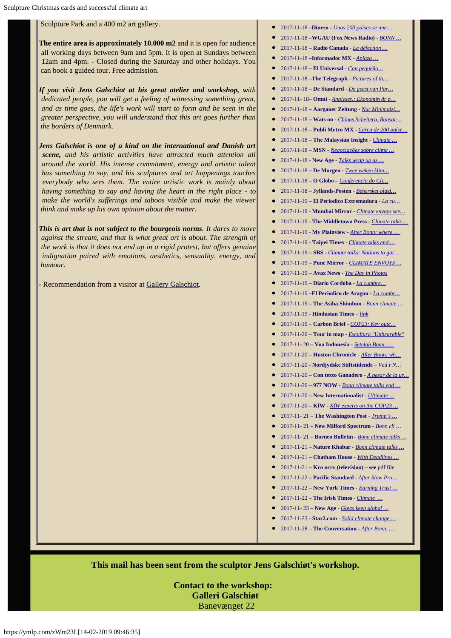#### Sculpture Park and a 400 m2 art gallery.

**The entire area is approximately 10.000 m2** and it is open for audience all working days between 9am and 5pm. It is open at Sundays between 12am and 4pm. - Closed during the Saturday and other holidays. You can book a guided tour. Free admission.

*If you visit Jens Galschiot at his great atelier and workshop, with dedicated people, you will get a feeling of witnessing something great, and as time goes, the life's work will start to form and be seen in the greater perspective, you will understand that this art goes further than the borders of Denmark.*

*Jens Galschiot is one of a kind on the international and Danish art scene, and his artistic activities have attracted much attention all around the world. His intense commitment, energy and artistic talent has something to say, and his sculptures and art happenings touches everybody who sees them. The entire artistic work is mainly about having something to say and having the heart in the right place - to make the world's sufferings and taboos visible and make the viewer think and make up his own opinion about the matter.*

*This is art that is not subject to the bourgeois norms. It dares to move against the stream, and that is what great art is about. The strength of the work is that it does not end up in a rigid protest, but offers genuine indignation paired with emotions, aesthetics, sensuality, energy, and humour.*

Recommendation from a visitor at [Gallery Galschiot](http://www.gallerigalschiot.dk/index_en.html).

- 2017-11-18 **–Dinero** *[Unos 200 países se une…](http://www.dinero.com/internacional/articulo/cop23-se-reune-en-2018-para-discutir-sobre-gases-de-efecto-invernadero/252522)*
- 2017-11-18 **–WGAU (Fox News Radio)**  *[BONN …](http://www.wgauradio.com/business/bonn-climate-talks-end-with-progress-despite-stance/vLLWgTnJjEfJRAiWetIOkM/)*
- 2017-11-18  **Radio Canada** *[La défection …](http://ici.radio-canada.ca/nouvelle/1067934/defection-americaine-jette-voile-sombre-cop23)*
- 2017-11-18 **–Informador MX**  *[Aplaza …](https://www.informador.mx/internacional/Aplaza-COP23-decisiones-importantes-hasta-2018-20171118-0017.html)*
- 2017-11-18  **El Universal** *- [Con pequeño…](http://www.eluniversal.com/noticias/internacional/con-pequenos-avances-culmina-cumbre-del-cop23-sobre-clima_678150)*
- $\bullet$ 2017-11-18 **–The Telegraph** *- [Pictures of th…](http://srvtrks.com/index.php?q=aHR0cDovL3d3dy50ZWxlZ3JhcGguY28udWsvbmV3cy8yMDE3LzExLzE4L3BpY3R1cmVzLWRheS0xOC1ub3ZlbWJlci0yMDE3Lw)*
- 2017-11-18  **De Standard** *- [De geest van Par…](http://www.standaard.be/cnt/dmf20171117_03193350)*
- 2017-11- 18 **Omni -** *[Analyser.: Ekonomin är p…](http://omni.se/analyser-ekonomin-ar-pa-vag-att-ga-om-politiken/a/xRA4pj)*
- 2017-11-18  **Aargauer Zeitung -** *[Nur Minimalzi…](https://www.aargauerzeitung.ch/ausland/nur-minimalziel-erreicht-klimakonferenz-hinterlaesst-viel-arbeit-131916019)*
- 2017-11-18  **Wats on** *[Chinas Scheitern, Bonsai-…](https://www.watson.ch/!490800339)*
- 2017-11-18  **Publi Metro MX** *[Cerca de 200 paíse…](https://www.publimetro.com.mx/mx/noticias/2017/11/18/cerca-200-paises-concretan-acuerdo-paris-pese-retiro-eu.html)*
- 2017-11-18  **The Malaysian Insight**  *[Climate …](https://www.themalaysianinsight.com/s/23393/)*
- 2017-11-18  **MSN** *[Negociações sobre clima …](file:///C:/Users/Jens/AppData/Local/Temp/-%20Negocia????es%20sobre%20clima%20se%20prolongam%20na%20COP23%20sob%20a%20sombra%20dos%20EUA)*
- 2017-11-18 **New Age**  *[Talks wrap up as …](http://www.newagebd.net/article/28594/talks-wrap-up-as-us-firm-on-fossil-fuels)*
- 2017-11-18  **De Morgen**  *[Twee weken klim…](https://www.demorgen.be/buitenland/twee-weken-klimaattop-in-bonn-de-eensgezindheid-is-groter-dan-ooit-maar-het-resultaat-bescheiden-bd28049e/)*
- 2017-11-18  **O Globo –** *[Conferencia do Cli…](https://oglobo.globo.com/sociedade/sustentabilidade/conferencia-do-clima-tecnica-deixa-decisoes-mais-dificeis-para-2018-22083916)*
- 2017-11-18  **Jyllands-Posten**  *[Behersket glæd…](http://jyllands-posten.dk/international/ECE10039589/behersket-glaede-over-klimamoede-hos-graesroedder/)*
- 2017-11-19  **El Periodico Extremadura** *- [La cu…](http://www.elperiodicoextremadura.com/noticias/sociedad/cumbre-clima-concluye-acuerdo-pauperrimo_1053743.html)*
- 2017-11-19 - **Mumbai Mirror** *[Climate envoys see…](https://mumbaimirror.indiatimes.com/news/world/climate-envoys-see-road-ahead-despite-trump/articleshow/61707511.cms)*
- 2017-11-19 **The Middletown Press -** *[Climate talks …](http://www.middletownpress.com/news/science/article/Climate-talks-wrap-up-with-progress-on-Paris-12365110.php)*
- 2017-11-19 **My Plainview -** *[After Bonn: where …](http://www.myplainview.com/news/science/article/After-Bonn-where-next-for-the-global-climate-12365772.php)*
- 2017-11-19 **Taipei Times** *- [Climate talks end …](http://www.taipeitimes.com/News/front/archives/2017/11/19/2003682522)*
- 2017-11-19  **SBS -** *[Climate talks: Nations to gat…](http://www.sbs.com.au/news/article/2017/11/18/climate-talks-nations-gather-2018-work-out-how-limit-warming)*
- 2017-11-19  **Pune Mirror** *[CLIMATE ENVOYS …](http://punemirror.indiatimes.com/news/world/climate-envoys-see-road-ahead-despite-trump/articleshow/61704956.cms)*
- 2017-11-19  **Avax News** *[The Day in Photos](http://avax.news/fact/The_Day_in_Photos_November_19_2017.html)*
- 2017-11-19  **Diario Cordoba** *- [La cumbre…](http://www.diariocordoba.com/noticias/sociedad/cumbre-clima-termina-acuerdo-pauperrimo_1186466.html)*
- 2017-11-19 **–El Periodico de Aragon** *- [La cumbr…](http://www.elperiodicodearagon.com/noticias/sociedad/cumbre-clima-concluye-bonn-acuerdo-pauperrimo_1243512.html)*
- 2017-11-19  **The Asiha Shimbun** *- [Bonn climate …](http://www.asahi.com/ajw/articles/AJ201711190013.html)*
- 2017-11-19 **Hindustan Times** *– [link](http://www.hindustantimes.com/photos/world-news/photos-of-the-week-the-pope-s-new-lamborghini-to-mugabe-in-public/photo-VSfQNMO5haIpccs5wHDo0I.html)*
- 2017-11-19 **Carbon Brief** *[COP23: Key outc…](https://www.carbonbrief.org/cop23-key-outcomes-agreed-un-climate-talks-bonn)*
- 2017-11-20 **Tour in map** *- [Escultura "Unbearable"](http://www.tourinmap.club/i/Bbl6TTHl-fJ)*
- 2017-11- 20  **Voa Indonesia** *- [Setelah Bonn:…](https://www.voaindonesia.com/a/setelah-bonn-perencanaan-masa-depan-kesepakatan-iklim/4126206.html)*
- 2017-11-20  **Huston Chronicle** *[After Bonn: wh…](http://www.chron.com/news/science/article/After-Bonn-where-next-for-the-global-climate-12365772.php)*
- 2017-11-20  **Nordjydske Stiftstidende** *Ved FN…*
- 2017-11-20  **Con texto Ganadero** *- [A pesar de la ur…](http://www.contextoganadero.com/internacional/pesar-de-la-urgencia-climatica-la-cop23-aplaza-sus-principales-decisiones-hasta-2018)*
- 2017-11-20  **977 NOW** *[Bonn climate talks end …](http://977now.com/2017/11/20/91311)*
- 2017-11-20  **New Internationalist** *[Ultimate …](https://newint.org/blog/2017/11/20/cop23-maori-talk)*
- 2017-11-20  **KfW** *[KfW experts on the COP23 …](https://www.kfw.de/stories/environment/climate-change/expert-opinion-cop23/)*
- 2017-11- 21  **The Washington Post** *- [Trump's …](https://www.washingtonpost.com/news/monkey-cage/wp/2017/11/21/trumps-noncooperation-threatens-climate-finance-under-the-paris-agreement/?utm_term=.0dfbe63632eb)*
- 2017-11- 21  **New Milford Spectrum** *- [Bonn cli …](http://www.newmilfordspectrum.com/business/technology/article/Climate-meeting-goes-all-night-ends-after-12367724.php)*
- 2017-11- 21  **Borneo Bulletin -** *[Bonn climate talks …](http://borneobulletin.com.bn/bonn-climate-talks-end-with-progress-despite-us-stance/)*
- 2017-11-21  **Nature Khabar** *[Bonn climate talks …](http://naturekhabar.com/en/archives/7550)*
- 2017-11-21  **Chatham House** *- [With Deadlines …](https://www.chathamhouse.org/expert/comment/deadlines-approaching-climate-negotiations-adjust-life-beyond-trump)*
- 2017-11-21 **Kro ncrv (television) see** pdf file
- 2017-11-22 **Pacific Standard** *- [After Slow Pro…](https://psmag.com/environment/climate-activists-say-see-you-in-court)*
- 2017-11-22 **New York Times -** *[Earning Trust …](https://www.nytimes.com/2017/11/22/climate/climate-fwd-trust-in-america-and-thankgiving-conversations.html?ribbon-ad-idx=2&rref=climate&module=Ribbon&version=context®ion=Header&action=click&contentCollection=Climate&pgtype=article)*
- 2017-11-22 **The Irish Times -** *[Climate …](https://www.irishtimes.com/opinion/letters/climate-change-and-coal-1.3299927)*
- 2017-11- 23  **New Age**  *[Govts keep global …](http://www.newagebd.net/article/28618/govts-keep-global-climate-deal-on-track-despite-us-pullout)*
- 2017-11-23 **Star2.com** *- [Solid climate change …](http://www.star2.com/living/2017/11/23/solid-climate-change-action-plans-committed-cop23/)*
- 2017-11-28 **The Conversation -** *[After Bonn, …](https://theconversation.com/after-bonn-5-things-to-watch-for-in-the-coming-year-of-global-climate-policy-88260v)*

**This mail has been sent from the sculptor Jens Galschiøt's workshop.**

**Contact to the workshop: Galleri Galschiøt** Banevænget 22